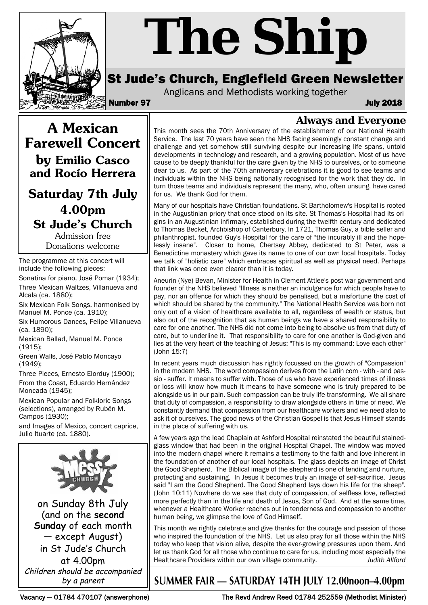

# *The Ship*

# St Jude's Church, Englefield Green Newsletter

Anglicans and Methodists working together

Number 97 July 2018

**A Mexican Farewell Concert by Emilio Casco and Rocío Herrera** 

**Saturday 7th July 4.00pm St Jude's Church**

Admission free Donations welcome

The programme at this concert will include the following pieces:

Sonatina for piano, José Pomar (1934); Three Mexican Waltzes, Villanueva and Alcala (ca. 1880);

Six Mexican Folk Songs, harmonised by Manuel M. Ponce (ca. 1910);

Six Humorous Dances, Felipe Villanueva (ca. 1890);

Mexican Ballad, Manuel M. Ponce (1915);

Green Walls, José Pablo Moncayo (1949);

Three Pieces, Ernesto Elorduy (1900); From the Coast, Eduardo Hernández Moncada (1945);

Mexican Popular and Folkloric Songs (selections), arranged by Rubén M. Campos (1930);

and Images of Mexico, concert caprice, Julio Ituarte (ca. 1880).



on Sunday 8th July (and on the **second Sunday** of each month — except August) in St Jude's Church at 4.00pm Children should be accompanied by a parent

**Always and Everyone** This month sees the 70th Anniversary of the establishment of our National Health Service. The last 70 years have seen the NHS facing seemingly constant change and challenge and yet somehow still surviving despite our increasing life spans, untold developments in technology and research, and a growing population. Most of us have cause to be deeply thankful for the care given by the NHS to ourselves, or to someone dear to us. As part of the 70th anniversary celebrations it is good to see teams and individuals within the NHS being nationally recognised for the work that they do. In turn those teams and individuals represent the many, who, often unsung, have cared for us. We thank God for them.

Many of our hospitals have Christian foundations. St Bartholomew's Hospital is rooted in the Augustinian priory that once stood on its site. St Thomas's Hospital had its origins in an Augustinian infirmary, established during the twelfth century and dedicated to Thomas Becket, Archbishop of Canterbury. In 1721, Thomas Guy, a bible seller and philanthropist, founded Guy's Hospital for the care of "the incurably ill and the hopelessly insane". Closer to home, Chertsey Abbey, dedicated to St Peter, was a Benedictine monastery which gave its name to one of our own local hospitals. Today we talk of "holistic care" which embraces spiritual as well as physical need. Perhaps that link was once even clearer than it is today.

Aneurin (Nye) Bevan, Minister for Health in Clement Attlee's post-war government and founder of the NHS believed "Illness is neither an indulgence for which people have to pay, nor an offence for which they should be penalised, but a misfortune the cost of which should be shared by the community." The National Health Service was born not only out of a vision of healthcare available to all, regardless of wealth or status, but also out of the recognition that as human beings we have a shared responsibility to care for one another. The NHS did not come into being to absolve us from that duty of care, but to underline it. That responsibility to care for one another is God-given and lies at the very heart of the teaching of Jesus: "This is my command: Love each other" (John 15:7)

In recent years much discussion has rightly focussed on the growth of "Compassion" in the modern NHS. The word compassion derives from the Latin com - with - and passio - suffer. It means to suffer with. Those of us who have experienced times of illness or loss will know how much it means to have someone who is truly prepared to be alongside us in our pain. Such compassion can be truly life-transforming. We all share that duty of compassion, a responsibility to draw alongside others in time of need. We constantly demand that compassion from our healthcare workers and we need also to ask it of ourselves. The good news of the Christian Gospel is that Jesus Himself stands in the place of suffering with us.

A few years ago the lead Chaplain at Ashford Hospital reinstated the beautiful stainedglass window that had been in the original Hospital Chapel. The window was moved into the modern chapel where it remains a testimony to the faith and love inherent in the foundation of another of our local hospitals. The glass depicts an image of Christ the Good Shepherd. The Biblical image of the shepherd is one of tending and nurture, protecting and sustaining. In Jesus it becomes truly an image of self-sacrifice. Jesus said "I am the Good Shepherd. The Good Shepherd lays down his life for the sheep". (John 10:11) Nowhere do we see that duty of compassion, of selfless love, reflected more perfectly than in the life and death of Jesus, Son of God. And at the same time, whenever a Healthcare Worker reaches out in tenderness and compassion to another human being, we glimpse the love of God Himself.

This month we rightly celebrate and give thanks for the courage and passion of those who inspired the foundation of the NHS. Let us also pray for all those within the NHS today who keep that vision alive, despite the ever-growing pressures upon them. And let us thank God for all those who continue to care for us, including most especially the Healthcare Providers within our own village community. *Judith Allford*

# **SUMMER FAIR — SATURDAY 14TH JULY 12.00noon–4.00pm**

Vacancy — 01784 470107 (answerphone) The Revd Andrew Reed 01784 252559 (Methodist Minister)